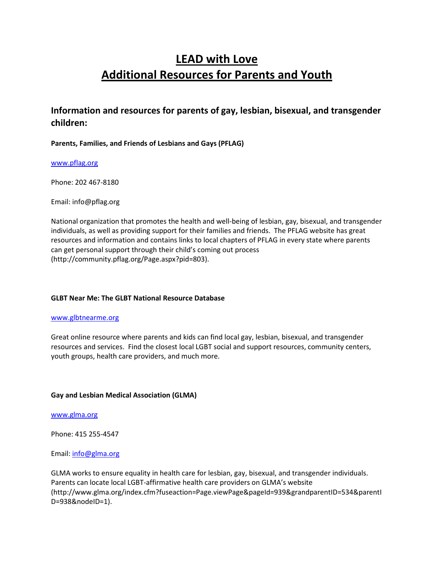# LEAD with Love Additional Resources for Parents and Youth

# Information and resources for parents of gay, lesbian, bisexual, and transgender children:

### Parents, Families, and Friends of Lesbians and Gays (PFLAG)

### www.pflag.org

Phone: 202 467-8180

Email: info@pflag.org

National organization that promotes the health and well-being of lesbian, gay, bisexual, and transgender individuals, as well as providing support for their families and friends. The PFLAG website has great resources and information and contains links to local chapters of PFLAG in every state where parents can get personal support through their child's coming out process (http://community.pflag.org/Page.aspx?pid=803).

### GLBT Near Me: The GLBT National Resource Database

#### www.glbtnearme.org

Great online resource where parents and kids can find local gay, lesbian, bisexual, and transgender resources and services. Find the closest local LGBT social and support resources, community centers, youth groups, health care providers, and much more.

### Gay and Lesbian Medical Association (GLMA)

#### www.glma.org

Phone: 415 255-4547

### Email: info@glma.org

GLMA works to ensure equality in health care for lesbian, gay, bisexual, and transgender individuals. Parents can locate local LGBT-affirmative health care providers on GLMA's website (http://www.glma.org/index.cfm?fuseaction=Page.viewPage&pageId=939&grandparentID=534&parentI D=938&nodeID=1).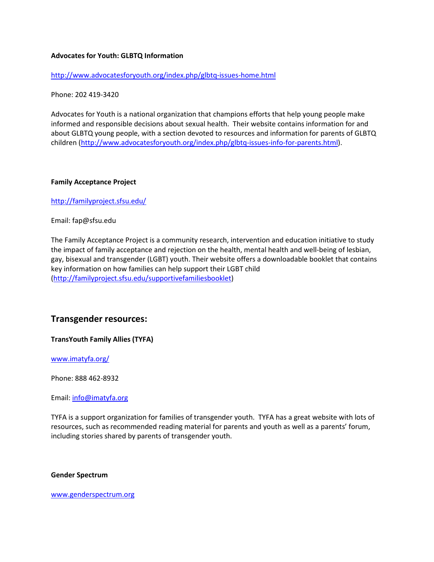#### Advocates for Youth: GLBTQ Information

http://www.advocatesforyouth.org/index.php/glbtq-issues-home.html

Phone: 202 419-3420

Advocates for Youth is a national organization that champions efforts that help young people make informed and responsible decisions about sexual health. Their website contains information for and about GLBTQ young people, with a section devoted to resources and information for parents of GLBTQ children (http://www.advocatesforyouth.org/index.php/glbtq-issues-info-for-parents.html).

#### Family Acceptance Project

http://familyproject.sfsu.edu/

Email: fap@sfsu.edu

The Family Acceptance Project is a community research, intervention and education initiative to study the impact of family acceptance and rejection on the health, mental health and well-being of lesbian, gay, bisexual and transgender (LGBT) youth. Their website offers a downloadable booklet that contains key information on how families can help support their LGBT child (http://familyproject.sfsu.edu/supportivefamiliesbooklet)

### Transgender resources:

TransYouth Family Allies (TYFA)

www.imatyfa.org/

Phone: 888 462-8932

Email: info@imatyfa.org

TYFA is a support organization for families of transgender youth. TYFA has a great website with lots of resources, such as recommended reading material for parents and youth as well as a parents' forum, including stories shared by parents of transgender youth.

#### Gender Spectrum

www.genderspectrum.org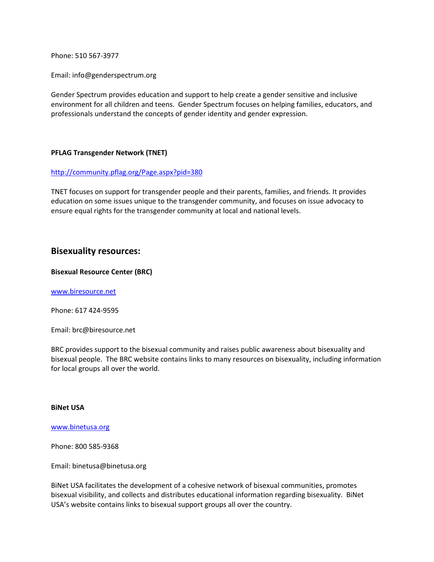Phone: 510 567-3977

Email: info@genderspectrum.org

Gender Spectrum provides education and support to help create a gender sensitive and inclusive environment for all children and teens. Gender Spectrum focuses on helping families, educators, and professionals understand the concepts of gender identity and gender expression.

#### PFLAG Transgender Network (TNET)

#### http://community.pflag.org/Page.aspx?pid=380

TNET focuses on support for transgender people and their parents, families, and friends. It provides education on some issues unique to the transgender community, and focuses on issue advocacy to ensure equal rights for the transgender community at local and national levels.

### Bisexuality resources:

#### Bisexual Resource Center (BRC)

www.biresource.net

Phone: 617 424-9595

Email: brc@biresource.net

BRC provides support to the bisexual community and raises public awareness about bisexuality and bisexual people. The BRC website contains links to many resources on bisexuality, including information for local groups all over the world.

#### BiNet USA

www.binetusa.org

Phone: 800 585-9368

Email: binetusa@binetusa.org

BiNet USA facilitates the development of a cohesive network of bisexual communities, promotes bisexual visibility, and collects and distributes educational information regarding bisexuality. BiNet USA's website contains links to bisexual support groups all over the country.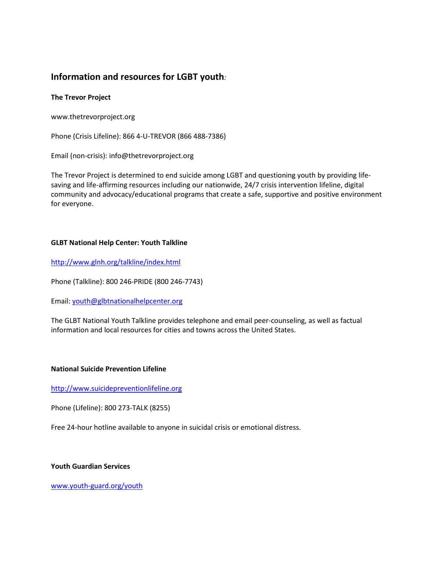# Information and resources for LGBT youth:

### The Trevor Project

www.thetrevorproject.org

Phone (Crisis Lifeline): 866 4-U-TREVOR (866 488-7386)

Email (non-crisis): info@thetrevorproject.org

The Trevor Project is determined to end suicide among LGBT and questioning youth by providing lifesaving and life-affirming resources including our nationwide, 24/7 crisis intervention lifeline, digital community and advocacy/educational programs that create a safe, supportive and positive environment for everyone.

### GLBT National Help Center: Youth Talkline

http://www.glnh.org/talkline/index.html

Phone (Talkline): 800 246-PRIDE (800 246-7743)

Email: youth@glbtnationalhelpcenter.org

The GLBT National Youth Talkline provides telephone and email peer-counseling, as well as factual information and local resources for cities and towns across the United States.

### National Suicide Prevention Lifeline

http://www.suicidepreventionlifeline.org

Phone (Lifeline): 800 273-TALK (8255)

Free 24-hour hotline available to anyone in suicidal crisis or emotional distress.

### Youth Guardian Services

www.youth-guard.org/youth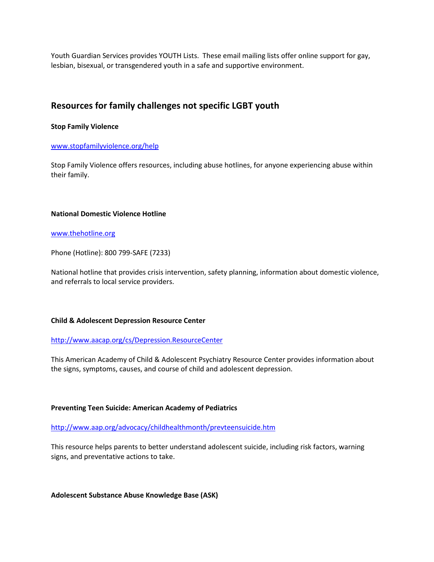Youth Guardian Services provides YOUTH Lists. These email mailing lists offer online support for gay, lesbian, bisexual, or transgendered youth in a safe and supportive environment.

# Resources for family challenges not specific LGBT youth

#### Stop Family Violence

#### www.stopfamilyviolence.org/help

Stop Family Violence offers resources, including abuse hotlines, for anyone experiencing abuse within their family.

#### National Domestic Violence Hotline

#### www.thehotline.org

Phone (Hotline): 800 799-SAFE (7233)

National hotline that provides crisis intervention, safety planning, information about domestic violence, and referrals to local service providers.

### Child & Adolescent Depression Resource Center

#### http://www.aacap.org/cs/Depression.ResourceCenter

This American Academy of Child & Adolescent Psychiatry Resource Center provides information about the signs, symptoms, causes, and course of child and adolescent depression.

### Preventing Teen Suicide: American Academy of Pediatrics

http://www.aap.org/advocacy/childhealthmonth/prevteensuicide.htm

This resource helps parents to better understand adolescent suicide, including risk factors, warning signs, and preventative actions to take.

Adolescent Substance Abuse Knowledge Base (ASK)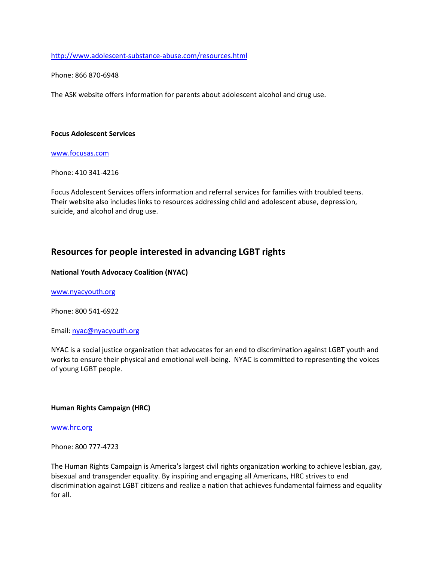http://www.adolescent-substance-abuse.com/resources.html

Phone: 866 870-6948

The ASK website offers information for parents about adolescent alcohol and drug use.

#### Focus Adolescent Services

www.focusas.com

Phone: 410 341-4216

Focus Adolescent Services offers information and referral services for families with troubled teens. Their website also includes links to resources addressing child and adolescent abuse, depression, suicide, and alcohol and drug use.

## Resources for people interested in advancing LGBT rights

#### National Youth Advocacy Coalition (NYAC)

www.nyacyouth.org

Phone: 800 541-6922

Email: nyac@nyacyouth.org

NYAC is a social justice organization that advocates for an end to discrimination against LGBT youth and works to ensure their physical and emotional well-being. NYAC is committed to representing the voices of young LGBT people.

### Human Rights Campaign (HRC)

www.hrc.org

Phone: 800 777-4723

The Human Rights Campaign is America's largest civil rights organization working to achieve lesbian, gay, bisexual and transgender equality. By inspiring and engaging all Americans, HRC strives to end discrimination against LGBT citizens and realize a nation that achieves fundamental fairness and equality for all.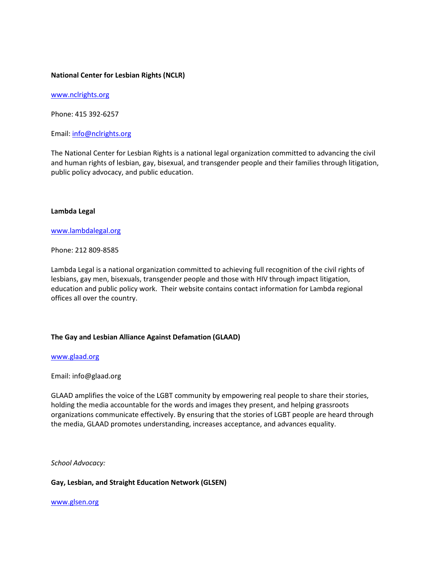#### National Center for Lesbian Rights (NCLR)

www.nclrights.org

Phone: 415 392-6257

Email: info@nclrights.org

The National Center for Lesbian Rights is a national legal organization committed to advancing the civil and human rights of lesbian, gay, bisexual, and transgender people and their families through litigation, public policy advocacy, and public education.

#### Lambda Legal

#### www.lambdalegal.org

Phone: 212 809-8585

Lambda Legal is a national organization committed to achieving full recognition of the civil rights of lesbians, gay men, bisexuals, transgender people and those with HIV through impact litigation, education and public policy work. Their website contains contact information for Lambda regional offices all over the country.

#### The Gay and Lesbian Alliance Against Defamation (GLAAD)

#### www.glaad.org

#### Email: info@glaad.org

GLAAD amplifies the voice of the LGBT community by empowering real people to share their stories, holding the media accountable for the words and images they present, and helping grassroots organizations communicate effectively. By ensuring that the stories of LGBT people are heard through the media, GLAAD promotes understanding, increases acceptance, and advances equality.

School Advocacy:

Gay, Lesbian, and Straight Education Network (GLSEN)

www.glsen.org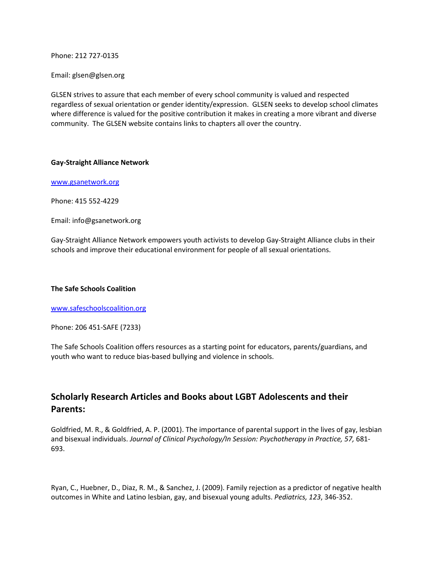Phone: 212 727-0135

Email: glsen@glsen.org

GLSEN strives to assure that each member of every school community is valued and respected regardless of sexual orientation or gender identity/expression. GLSEN seeks to develop school climates where difference is valued for the positive contribution it makes in creating a more vibrant and diverse community. The GLSEN website contains links to chapters all over the country.

#### Gay-Straight Alliance Network

www.gsanetwork.org

Phone: 415 552-4229

Email: info@gsanetwork.org

Gay-Straight Alliance Network empowers youth activists to develop Gay-Straight Alliance clubs in their schools and improve their educational environment for people of all sexual orientations.

### The Safe Schools Coalition

www.safeschoolscoalition.org

Phone: 206 451-SAFE (7233)

The Safe Schools Coalition offers resources as a starting point for educators, parents/guardians, and youth who want to reduce bias-based bullying and violence in schools.

# Scholarly Research Articles and Books about LGBT Adolescents and their Parents:

Goldfried, M. R., & Goldfried, A. P. (2001). The importance of parental support in the lives of gay, lesbian and bisexual individuals. Journal of Clinical Psychology/In Session: Psychotherapy in Practice, 57, 681- 693.

Ryan, C., Huebner, D., Diaz, R. M., & Sanchez, J. (2009). Family rejection as a predictor of negative health outcomes in White and Latino lesbian, gay, and bisexual young adults. Pediatrics, 123, 346-352.